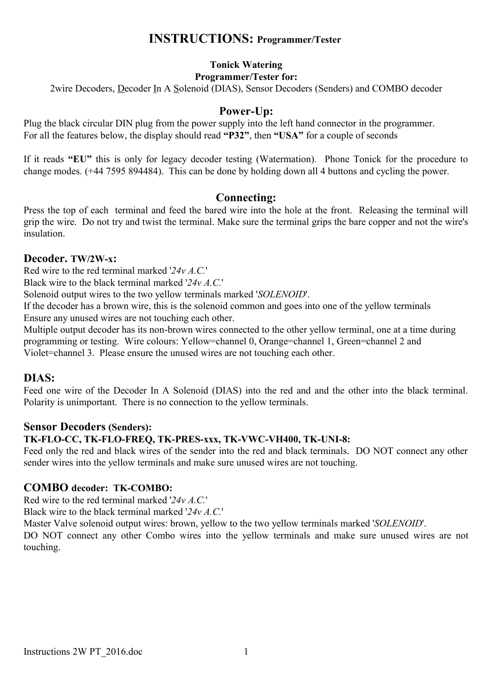## **INSTRUCTIONS: Programmer/Tester**

#### **Tonick Watering Programmer/Tester for:**

2wire Decoders, Decoder In A Solenoid (DIAS), Sensor Decoders (Senders) and COMBO decoder

### **Power-Up:**

Plug the black circular DIN plug from the power supply into the left hand connector in the programmer. For all the features below, the display should read **"P32"**, then **"USA"** for a couple of seconds

If it reads **"EU"** this is only for legacy decoder testing (Watermation). Phone Tonick for the procedure to change modes. (+44 7595 894484). This can be done by holding down all 4 buttons and cycling the power.

#### **Connecting:**

Press the top of each terminal and feed the bared wire into the hole at the front. Releasing the terminal will grip the wire. Do not try and twist the terminal. Make sure the terminal grips the bare copper and not the wire's insulation.

#### **Decoder. TW/2W-x:**

Red wire to the red terminal marked '*24v A.C.*'

Black wire to the black terminal marked '*24v A.C.*'

Solenoid output wires to the two yellow terminals marked '*SOLENOID*'.

If the decoder has a brown wire, this is the solenoid common and goes into one of the yellow terminals Ensure any unused wires are not touching each other.

Multiple output decoder has its non-brown wires connected to the other yellow terminal, one at a time during programming or testing. Wire colours: Yellow=channel 0, Orange=channel 1, Green=channel 2 and Violet=channel 3. Please ensure the unused wires are not touching each other.

#### **DIAS:**

Feed one wire of the Decoder In A Solenoid (DIAS) into the red and and the other into the black terminal. Polarity is unimportant. There is no connection to the yellow terminals.

#### **Sensor Decoders (Senders):**

#### **TK-FLO-CC, TK-FLO-FREQ, TK-PRES-xxx, TK-VWC-VH400, TK-UNI-8:**

Feed only the red and black wires of the sender into the red and black terminals. DO NOT connect any other sender wires into the yellow terminals and make sure unused wires are not touching.

#### **COMBO decoder: TK-COMBO:**

Red wire to the red terminal marked '*24v A.C.*'

Black wire to the black terminal marked '*24v A.C.*'

Master Valve solenoid output wires: brown, yellow to the two yellow terminals marked '*SOLENOID*'.

DO NOT connect any other Combo wires into the yellow terminals and make sure unused wires are not touching.